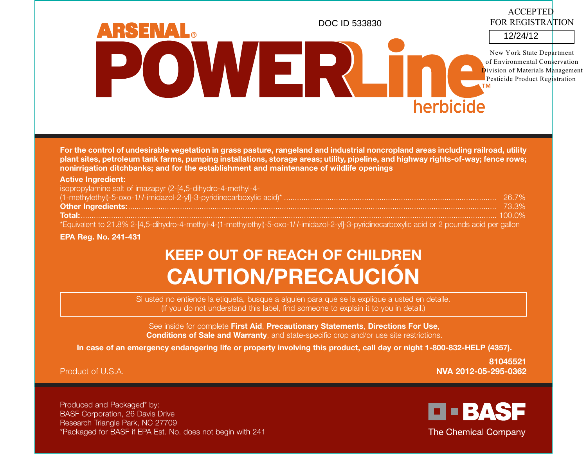ACCEPTED FOR REGISTRATIONDOC ID 533830**RSENAL**® 12/24/12POWER New York State Departmentof Environmental Conservation**D**ivision of Materials Management Pesticide Product Registration herbicide

**For the control of undesirable vegetation in grass pasture, rangeland and industrial noncropland areas including railroad, utility plant sites, petroleum tank farms, pumping installations, storage areas; utility, pipeline, and highway rights-of-way; fence rows; nonirrigation ditchbanks; and for the establishment and maintenance of wildlife openings**

#### **Active Ingredient:**

| isopropylamine salt of imazapyr (2-[4,5-dihydro-4-methyl-4-                                                                                    |  |
|------------------------------------------------------------------------------------------------------------------------------------------------|--|
| $(1-methylethyl)-5-oxo-1H-imidazol-2-yll-3-pyridinecarboxylic acid)*$<br>$(1-methylethyl)-5-oxo-1H-imidazol-2-yll-3-pyridinecarboxylic acid)*$ |  |
|                                                                                                                                                |  |
|                                                                                                                                                |  |
| *Equivalent to 21.8% 2-[4,5-dihydro-4-methyl-4-(1-methylethyl)-5-oxo-1H-imidazol-2-yl]-3-pyridinecarboxylic acid or 2 pounds acid per gallon   |  |

#### **EPA Reg. No. 241-431**

# **KEEP OUT OF REACH OF CHILDREN CAUTION/PRECAUCIÓN**

Si usted no entiende la etiqueta, busque a alguien para que se la explique a usted en detalle. (If you do not understand this label, find someone to explain it to you in detail.)

See inside for complete **First Aid**, **Precautionary Statements**, **Directions For Use**, **Conditions of Sale and Warranty**, and state-specific crop and/or use site restrictions.

**In case of an emergency endangering life or property involving this product, call day or night 1-800-832-HELP (4357).** 

Product of U.S.A.

**81045521NVA 2012-05-295-0362**

Produced and Packaged\* by: BASF Corporation, 26 Davis Drive Research Triangle Park, NC 27709 \*Packaged for BASF if EPA Est. No. does not begin with 241

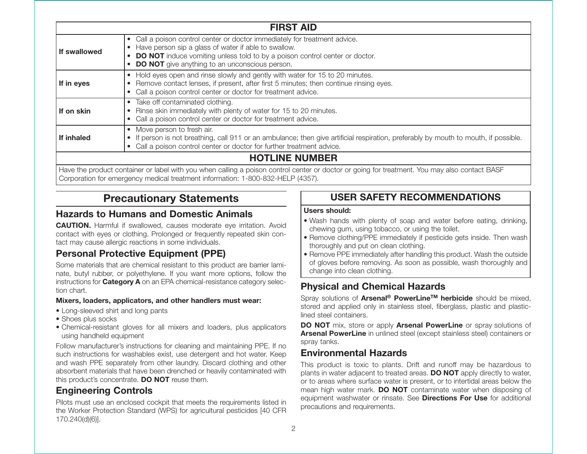|              | <b>FIRST AID</b>                                                                                                                                                                                                                                                                          |  |  |  |
|--------------|-------------------------------------------------------------------------------------------------------------------------------------------------------------------------------------------------------------------------------------------------------------------------------------------|--|--|--|
| If swallowed | • Call a poison control center or doctor immediately for treatment advice.<br>Have person sip a glass of water if able to swallow.<br>$\bullet$<br><b>DO NOT</b> induce vomiting unless told to by a poison control center or doctor.<br>• DO NOT give anything to an unconscious person. |  |  |  |
| If in eyes   | • Hold eyes open and rinse slowly and gently with water for 15 to 20 minutes.<br>Remove contact lenses, if present, after first 5 minutes; then continue rinsing eyes.<br>• Call a poison control center or doctor for treatment advice.                                                  |  |  |  |
| If on skin   | • Take off contaminated clothing.<br>Rinse skin immediately with plenty of water for 15 to 20 minutes.<br>Call a poison control center or doctor for treatment advice.                                                                                                                    |  |  |  |
| If inhaled   | • Move person to fresh air.<br>If person is not breathing, call 911 or an ambulance; then give artificial respiration, preferably by mouth to mouth, if possible.<br>$\bullet$<br>• Call a poison control center or doctor for further treatment advice.                                  |  |  |  |
|              | <b>HOTLINE NUMBER</b>                                                                                                                                                                                                                                                                     |  |  |  |

Have the product container or label with you when calling a poison control center or doctor or going for treatment. You may also contact BASF Corporation for emergency medical treatment information: 1-800-832-HELP (4357).

# **Precautionary Statements**

# **Hazards to Humans and Domestic Animals**

**CAUTION.** Harmful if swallowed, causes moderate eye irritation. Avoid contact with eyes or clothing. Prolonged or frequently repeated skin contact may cause allergic reactions in some individuals.

# **Personal Protective Equipment (PPE)**

Some materials that are chemical resistant to this product are barrier laminate, butyl rubber, or polyethylene. If you want more options, follow the instructions for **Category A** on an EPA chemical-resistance category selection chart.

#### **Mixers, loaders, applicators, and other handlers must wear:**

- Long-sleeved shirt and long pants
- Shoes plus socks
- Chemical-resistant gloves for all mixers and loaders, plus applicators using handheld equipment

Follow manufacturer's instructions for cleaning and maintaining PPE. If no such instructions for washables exist, use detergent and hot water. Keep and wash PPE separately from other laundry. Discard clothing and other absorbent materials that have been drenched or heavily contaminated with this product's concentrate. **DO NOT** reuse them.

# **Engineering Controls**

Pilots must use an enclosed cockpit that meets the requirements listed in the Worker Protection Standard (WPS) for agricultural pesticides [40 CFR 170.240(d)(6)].

# **USER SAFETY RECOMMENDATIONS**

#### **Users should:**

- Wash hands with plenty of soap and water before eating, drinking, chewing gum, using tobacco, or using the toilet.
- Remove clothing/PPE immediately if pesticide gets inside. Then wash thoroughly and put on clean clothing.
- Remove PPE immediately after handling this product. Wash the outside of gloves before removing. As soon as possible, wash thoroughly and change into clean clothing.

# **Physical and Chemical Hazards**

Spray solutions of **Arsenal ® PowerLineTM herbicide** should be mixed, stored and applied only in stainless steel, fiberglass, plastic and plasticlined steel containers.

**DO NOT** mix, store or apply **Arsenal PowerLine** or spray solutions of **Arsenal PowerLine** in unlined steel (except stainless steel) containers or spray tanks.

# **Environmental Hazards**

This product is toxic to plants. Drift and runoff may be hazardous to plants in water adjacent to treated areas. **DO NOT** apply directly to water, or to areas where surface water is present, or to intertidal areas below the mean high water mark. **DO NOT** contaminate water when disposing of equipment washwater or rinsate. See **Directions For Use** for additional precautions and requirements.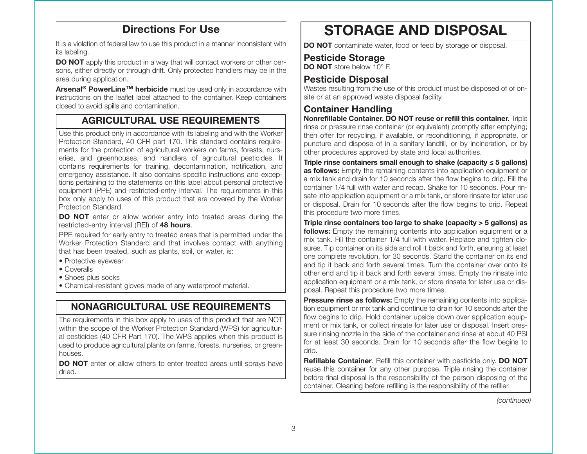# **Directions For Use**

It is a violation of federal law to use this product in a manner inconsistent with its labeling.

**DO NOT** apply this product in a way that will contact workers or other persons, either directly or through drift. Only protected handlers may be in the area during application.

**Arsenal® PowerLineTM herbicide** must be used only in accordance with instructions on the leaflet label attached to the container. Keep containers closed to avoid spills and contamination.

# **AGRICULTURAL USE REQUIREMENTS**

Use this product only in accordance with its labeling and with the Worker Protection Standard, 40 CFR part 170. This standard contains requirements for the protection of agricultural workers on farms, forests, nurseries, and greenhouses, and handlers of agricultural pesticides. It contains requirements for training, decontamination, notification, and emergency assistance. It also contains specific instructions and exceptions pertaining to the statements on this label about personal protective equipment (PPE) and restricted-entry interval. The requirements in this box only apply to uses of this product that are covered by the Worker Protection Standard.

**DO NOT** enter or allow worker entry into treated areas during the restricted-entry interval (REI) of **48 hours**.

PPE required for early entry to treated areas that is permitted under the Worker Protection Standard and that involves contact with anything that has been treated, such as plants, soil, or water, is:

- Protective eyewear
- Coveralls
- Shoes plus socks
- Chemical-resistant gloves made of any waterproof material.

# **NONAGRICULTURAL USE REQUIREMENTS**

The requirements in this box apply to uses of this product that are NOT within the scope of the Worker Protection Standard (WPS) for agricultural pesticides (40 CFR Part 170). The WPS applies when this product is used to produce agricultural plants on farms, forests, nurseries, or greenhouses.

**DO NOT** enter or allow others to enter treated areas until sprays have dried.

# **STORAGE AND DISPOSAL**

**DO NOT** contaminate water, food or feed by storage or disposal.

# **Pesticide Storage**

**DO NOT** store below 10° F.

# **Pesticide Disposal**

Wastes resulting from the use of this product must be disposed of of onsite or at an approved waste disposal facility.

# **Container Handling**

**Nonrefillable Container. DO NOT reuse or refill this container.** Triple rinse or pressure rinse container (or equivalent) promptly after emptying; then offer for recycling, if available, or reconditioning, if appropriate, or puncture and dispose of in a sanitary landfill, or by incineration, or by other procedures approved by state and local authorities.

**Triple rinse containers small enough to shake (capacity ≤ 5 gallons) as follows:** Empty the remaining contents into application equipment or a mix tank and drain for 10 seconds after the flow begins to drip. Fill the container 1/4 full with water and recap. Shake for 10 seconds. Pour rinsate into application equipment or a mix tank, or store rinsate for later use or disposal. Drain for 10 seconds after the flow begins to drip. Repeat this procedure two more times.

**Triple rinse containers too large to shake (capacity > 5 gallons) as follows:** Empty the remaining contents into application equipment or a mix tank. Fill the container 1/4 full with water. Replace and tighten closures. Tip container on its side and roll it back and forth, ensuring at least one complete revolution, for 30 seconds. Stand the container on its end and tip it back and forth several times. Turn the container over onto its other end and tip it back and forth several times. Empty the rinsate into application equipment or a mix tank, or store rinsate for later use or disposal. Repeat this procedure two more times.

**Pressure rinse as follows:** Empty the remaining contents into application equipment or mix tank and continue to drain for 10 seconds after the flow begins to drip. Hold container upside down over application equipment or mix tank, or collect rinsate for later use or disposal. Insert pressure rinsing nozzle in the side of the container and rinse at about 40 PSI for at least 30 seconds. Drain for 10 seconds after the flow begins to drip.

**Refillable Container**. Refill this container with pesticide only. **DO NOT** reuse this container for any other purpose. Triple rinsing the container before final disposal is the responsibility of the person disposing of the container. Cleaning before refilling is the responsibility of the refiller.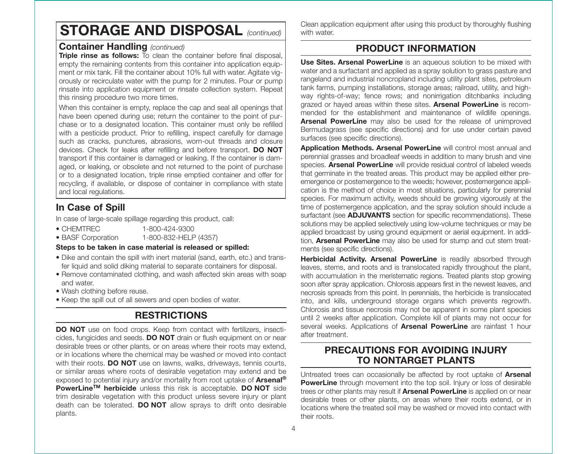# **STORAGE AND DISPOSAL** *(continued)*

# **Container Handling** *(continued)*

**Triple rinse as follows:** To clean the container before final disposal, empty the remaining contents from this container into application equipment or mix tank. Fill the container about 10% full with water. Agitate vigorously or recirculate water with the pump for 2 minutes. Pour or pump rinsate into application equipment or rinsate collection system. Repeat this rinsing procedure two more times.

When this container is empty, replace the cap and seal all openings that have been opened during use; return the container to the point of purchase or to a designated location. This container must only be refilled with a pesticide product. Prior to refilling, inspect carefully for damage such as cracks, punctures, abrasions, worn-out threads and closure devices. Check for leaks after refilling and before transport. **DO NOT** transport if this container is damaged or leaking. If the container is damaged, or leaking, or obsolete and not returned to the point of purchase or to a designated location, triple rinse emptied container and offer for recycling, if available, or dispose of container in compliance with state and local regulations.

# **In Case of Spill**

In case of large-scale spillage regarding this product, call:

- CHEMTREC 1-800-424-9300
- BASF Corporation 1-800-832-HELP (4357)

#### **Steps to be taken in case material is released or spilled:**

- Dike and contain the spill with inert material (sand, earth, etc.) and transfer liquid and solid diking material to separate containers for disposal.
- Remove contaminated clothing, and wash affected skin areas with soap and water.
- Wash clothing before reuse.
- Keep the spill out of all sewers and open bodies of water.

# **RESTRICTIONS**

**DO NOT** use on food crops. Keep from contact with fertilizers, insecticides, fungicides and seeds. **DO NOT** drain or flush equipment on or near desirable trees or other plants, or on areas where their roots may extend, or in locations where the chemical may be washed or moved into contact with their roots. **DO NOT** use on lawns, walks, driveways, tennis courts, or similar areas where roots of desirable vegetation may extend and be exposed to potential injury and/or mortality from root uptake of **Arsenal ® PowerLineTM herbicide** unless this risk is acceptable. **DO NOT** side trim desirable vegetation with this product unless severe injury or plant death can be tolerated. **DO NOT** allow sprays to drift onto desirable plants.

Clean application equipment after using this product by thoroughly flushing with water.

# **PRODUCT INFORMATION**

**Use Sites. Arsenal PowerLine** is an aqueous solution to be mixed with water and a surfactant and applied as a spray solution to grass pasture and rangeland and industrial noncropland including utility plant sites, petroleum tank farms, pumping installations, storage areas; railroad, utility, and highway rights-of-way; fence rows; and nonirrigation ditchbanks including grazed or hayed areas within these sites. **Arsenal PowerLine** is recommended for the establishment and maintenance of wildlife openings. **Arsenal PowerLine** may also be used for the release of unimproved Bermudagrass (see specific directions) and for use under certain paved surfaces (see specific directions).

**Application Methods. Arsenal PowerLine** will control most annual and perennial grasses and broadleaf weeds in addition to many brush and vine species. **Arsenal PowerLine** will provide residual control of labeled weeds that germinate in the treated areas. This product may be applied either preemergence or postemergence to the weeds; however, postemergence application is the method of choice in most situations, particularly for perennial species. For maximum activity, weeds should be growing vigorously at the time of postemergence application, and the spray solution should include a surfactant (see **ADJUVANTS** section for specific recommendations). These solutions may be applied selectively using low- volume techniques or may be applied broadcast by using ground equipment or aerial equipment. In addition, **Arsenal PowerLine** may also be used for stump and cut stem treatments (see specific directions).

**Herbicidal Activity. Arsenal PowerLine** is readily absorbed through leaves, stems, and roots and is translocated rapidly throughout the plant, with accumulation in the meristematic regions. Treated plants stop growing soon after spray application. Chlorosis appears first in the newest leaves, and necrosis spreads from this point. In perennials, the herbicide is translocated into, and kills, underground storage organs which prevents regrowth. Chlorosis and tissue necrosis may not be apparent in some plant species until 2 weeks after application. Complete kill of plants may not occur for several weeks. Applications of **Arsenal PowerLine** are rainfast 1 hour after treatment.

# **PRECAUTIONS FOR AVOIDING INJURY TO NONTARGET PLANTS**

Untreated trees can occasionally be affected by root uptake of **Arsenal PowerLine** through movement into the top soil. Injury or loss of desirable trees or other plants may result if **Arsenal PowerLine** is applied on or near desirable trees or other plants, on areas where their roots extend, or in locations where the treated soil may be washed or moved into contact with their roots.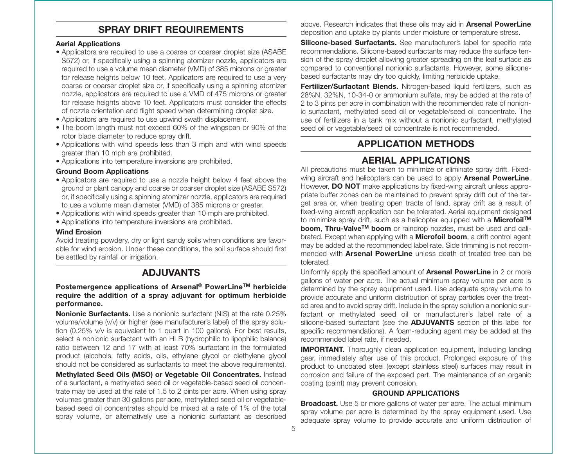# **SPRAY DRIFT REQUIREMENTS**

#### **Aerial Applications**

- Applicators are required to use a coarse or coarser droplet size (ASABE S572) or, if specifically using a spinning atomizer nozzle, applicators are required to use a volume mean diameter (VMD) of 385 microns or greater for release heights below 10 feet. Applicators are required to use a very coarse or coarser droplet size or, if specifically using a spinning atomizer nozzle, applicators are required to use a VMD of 475 microns or greater for release heights above 10 feet. Applicators must consider the effects of nozzle orientation and flight speed when determining droplet size.
- Applicators are required to use upwind swath displacement.
- The boom length must not exceed 60% of the wingspan or 90% of the rotor blade diameter to reduce spray drift.
- Applications with wind speeds less than 3 mph and with wind speeds greater than 10 mph are prohibited.
- Applications into temperature inversions are prohibited.

#### **Ground Boom Applications**

- Applicators are required to use a nozzle height below 4 feet above the ground or plant canopy and coarse or coarser droplet size (ASABE S572) or, if specifically using a spinning atomizer nozzle, applicators are required to use a volume mean diameter (VMD) of 385 microns or greater.
- Applications with wind speeds greater than 10 mph are prohibited.
- Applications into temperature inversions are prohibited.

#### **Wind Erosion**

Avoid treating powdery, dry or light sandy soils when conditions are favorable for wind erosion. Under these conditions, the soil surface should first be settled by rainfall or irrigation.

# **ADJUVANTS**

#### **Postemergence applications of Arsenal ® PowerLineTM herbicide require the addition of a spray adjuvant for optimum herbicide performance.**

**Nonionic Surfactants.** Use a nonionic surfactant (NIS) at the rate 0.25% volume/volume (v/v) or higher (see manufacturer's label) of the spray solution (0.25% v/v is equivalent to 1 quart in 100 gallons). For best results, select a nonionic surfactant with an HLB (hydrophilic to lipophilic balance) ratio between 12 and 17 with at least 70% surfactant in the formulated product (alcohols, fatty acids, oils, ethylene glycol or diethylene glycol should not be considered as surfactants to meet the above requirements).

**Methylated Seed Oils (MSO) or Vegetable Oil Concentrates.** Instead of a surfactant, a methylated seed oil or vegetable-based seed oil concentrate may be used at the rate of 1.5 to 2 pints per acre. When using spray volumes greater than 30 gallons per acre, methylated seed oil or vegetablebased seed oil concentrates should be mixed at a rate of 1% of the total spray volume, or alternatively use a nonionic surfactant as described

above. Research indicates that these oils may aid in **Arsenal PowerLine** deposition and uptake by plants under moisture or temperature stress.

**Silicone-based Surfactants.** See manufacturer's label for specific rate recommendations. Silicone-based surfactants may reduce the surface tension of the spray droplet allowing greater spreading on the leaf surface as compared to conventional nonionic surfactants. However, some siliconebased surfactants may dry too quickly, limiting herbicide uptake.

**Fertilizer/Surfactant Blends.** Nitrogen-based liquid fertilizers, such as 28%N, 32%N, 10-34-0 or ammonium sulfate, may be added at the rate of 2 to 3 pints per acre in combination with the recommended rate of nonionic surfactant, methylated seed oil or vegetable/seed oil concentrate. The use of fertilizers in a tank mix without a nonionic surfactant, methylated seed oil or vegetable/seed oil concentrate is not recommended.

# **APPLICATION METHODS**

# **AERIAL APPLICATIONS**

All precautions must be taken to minimize or eliminate spray drift. Fixedwing aircraft and helicopters can be used to apply **Arsenal PowerLine**. However, **DO NOT** make applications by fixed-wing aircraft unless appropriate buffer zones can be maintained to prevent spray drift out of the target area or, when treating open tracts of land, spray drift as a result of fixed-wing aircraft application can be tolerated. Aerial equipment designed to minimize spray drift, such as a helicopter equipped with a **MicrofoilTM boom**, **Thru-ValveTM boom** or raindrop nozzles, must be used and calibrated. Except when applying with a **Microfoil boom**, a drift control agent may be added at the recommended label rate. Side trimming is not recommended with **Arsenal PowerLine** unless death of treated tree can be tolerated.

Uniformly apply the specified amount of **Arsenal PowerLine** in 2 or more gallons of water per acre. The actual minimum spray volume per acre is determined by the spray equipment used. Use adequate spray volume to provide accurate and uniform distribution of spray particles over the treated area and to avoid spray drift. Include in the spray solution a nonionic surfactant or methylated seed oil or manufacturer's label rate of a silicone-based surfactant (see the **ADJUVANTS** section of this label for specific recommendations). A foam-reducing agent may be added at the recommended label rate, if needed.

**IMPORTANT.** Thoroughly clean application equipment, including landing gear, immediately after use of this product. Prolonged exposure of this product to uncoated steel (except stainless steel) surfaces may result in corrosion and failure of the exposed part. The maintenance of an organic coating (paint) may prevent corrosion.

#### **GROUND APPLICATIONS**

**Broadcast.** Use 5 or more gallons of water per acre. The actual minimum spray volume per acre is determined by the spray equipment used. Use adequate spray volume to provide accurate and uniform distribution of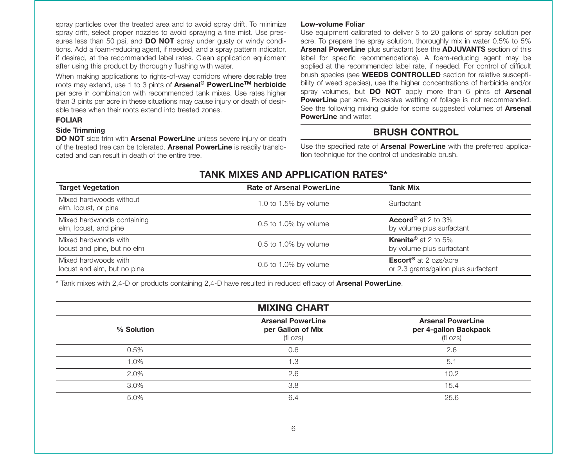spray particles over the treated area and to avoid spray drift. To minimize spray drift, select proper nozzles to avoid spraying a fine mist. Use pressures less than 50 psi, and **DO NOT** spray under gusty or windy conditions. Add a foam-reducing agent, if needed, and a spray pattern indicator, if desired, at the recommended label rates. Clean application equipment after using this product by thoroughly flushing with water.

When making applications to rights-of-way corridors where desirable tree roots may extend, use 1 to 3 pints of **Arsenal ® PowerLineTM herbicide** per acre in combination with recommended tank mixes. Use rates higher than 3 pints per acre in these situations may cause injury or death of desirable trees when their roots extend into treated zones.

#### **FOLIAR**

#### **Side Trimming**

**DO NOT** side trim with **Arsenal PowerLine** unless severe injury or death of the treated tree can be tolerated. **Arsenal PowerLine** is readily translocated and can result in death of the entire tree.

#### **Low-volume Foliar**

Use equipment calibrated to deliver 5 to 20 gallons of spray solution per acre. To prepare the spray solution, thoroughly mix in water 0.5% to 5% **Arsenal PowerLine** plus surfactant (see the **ADJUVANTS** section of this label for specific recommendations). A foam-reducing agent may be applied at the recommended label rate, if needed. For control of difficult brush species (see **WEEDS CONTROLLED** section for relative susceptibility of weed species), use the higher concentrations of herbicide and/or spray volumes, but **DO NOT** apply more than 6 pints of **Arsenal PowerLine** per acre. Excessive wetting of foliage is not recommended. See the following mixing guide for some suggested volumes of **Arsenal PowerLine** and water.

# **BRUSH CONTROL**

Use the specified rate of **Arsenal PowerLine** with the preferred application technique for the control of undesirable brush.

#### **TANK MIXES AND APPLICATION RATES\***

| <b>Target Vegetation</b>                            | <b>Rate of Arsenal PowerLine</b> | <b>Tank Mix</b>                                                                |
|-----------------------------------------------------|----------------------------------|--------------------------------------------------------------------------------|
| Mixed hardwoods without<br>elm, locust, or pine     | 1.0 to 1.5% by volume            | Surfactant                                                                     |
| Mixed hardwoods containing<br>elm, locust, and pine | 0.5 to 1.0% by volume            | <b>Accord</b> <sup>®</sup> at 2 to 3%<br>by volume plus surfactant             |
| Mixed hardwoods with<br>locust and pine, but no elm | 0.5 to 1.0% by volume            | <b>Krenite</b> <sup>®</sup> at 2 to 5%<br>by volume plus surfactant            |
| Mixed hardwoods with<br>locust and elm, but no pine | 0.5 to 1.0% by volume            | <b>Escort<sup>®</sup></b> at 2 ozs/acre<br>or 2.3 grams/gallon plus surfactant |

\* Tank mixes with 2,4-D or products containing 2,4-D have resulted in reduced efficacy of **Arsenal PowerLine**.

| <b>MIXING CHART</b> |                                                           |                                                               |  |
|---------------------|-----------------------------------------------------------|---------------------------------------------------------------|--|
| % Solution          | <b>Arsenal PowerLine</b><br>per Gallon of Mix<br>(fl ozs) | <b>Arsenal PowerLine</b><br>per 4-gallon Backpack<br>(fl ozs) |  |
| 0.5%                | 0.6                                                       | 2.6                                                           |  |
| 1.0%                | 1.3                                                       | 5.1                                                           |  |
| 2.0%                | 2.6                                                       | 10.2                                                          |  |
| 3.0%                | 3.8                                                       | 15.4                                                          |  |
| 5.0%                | 6.4                                                       | 25.6                                                          |  |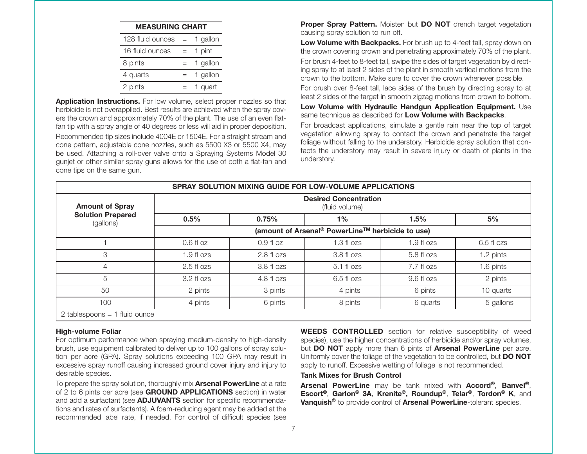| <b>MEASURING CHART</b> |          |
|------------------------|----------|
| 128 fluid ounces       | 1 gallon |
| 16 fluid ounces        | 1 pint   |
| 8 pints                | 1 gallon |
| 4 quarts               | 1 gallon |
| 2 pints                | quart    |

**Application Instructions.** For low volume, select proper nozzles so that herbicide is not overapplied. Best results are achieved when the spray covers the crown and approximately 70% of the plant. The use of an even flatfan tip with a spray angle of 40 degrees or less will aid in proper deposition. Recommended tip sizes include 4004E or 1504E. For a straight stream and cone pattern, adjustable cone nozzles, such as 5500 X3 or 5500 X4, may be used. Attaching a roll-over valve onto a Spraying Systems Model 30 gunjet or other similar spray guns allows for the use of both a flat-fan and cone tips on the same gun.

**Proper Spray Pattern.** Moisten but **DO NOT** drench target vegetation causing spray solution to run off.

**Low Volume with Backpacks.** For brush up to 4-feet tall, spray down on the crown covering crown and penetrating approximately 70% of the plant. For brush 4-feet to 8-feet tall, swipe the sides of target vegetation by directing spray to at least 2 sides of the plant in smooth vertical motions from the crown to the bottom. Make sure to cover the crown whenever possible.

For brush over 8-feet tall, lace sides of the brush by directing spray to at least 2 sides of the target in smooth zigzag motions from crown to bottom.

**Low Volume with Hydraulic Handgun Application Equipment.** Use same technique as described for **Low Volume with Backpacks**.

For broadcast applications, simulate a gentle rain near the top of target vegetation allowing spray to contact the crown and penetrate the target foliage without falling to the understory. Herbicide spray solution that contacts the understory may result in severe injury or death of plants in the understory.

|                                       | SPRAY SOLUTION MIXING GUIDE FOR LOW-VOLUME APPLICATIONS      |             |                                                |             |            |
|---------------------------------------|--------------------------------------------------------------|-------------|------------------------------------------------|-------------|------------|
| <b>Amount of Spray</b>                |                                                              |             | <b>Desired Concentration</b><br>(fluid volume) |             |            |
| <b>Solution Prepared</b><br>(gallons) | 0.5%                                                         | 0.75%       | $1\%$                                          | 1.5%        | 5%         |
|                                       | (amount of Arsenal <sup>®</sup> PowerLine™ herbicide to use) |             |                                                |             |            |
|                                       | $0.6f$ loz                                                   | $0.9f$ l oz | $1.3 f$ l ozs                                  | $1.9f$ lozs | 6.5 fl ozs |
| 3                                     | $1.9f$ lozs                                                  | $2.8f$ lozs | $3.8f$ lozs                                    | $5.8f$ lozs | 1.2 pints  |
| 4                                     | $2.5$ fl $ozs$                                               | $3.8f$ ozs  | $5.1$ fl $ozs$                                 | 7.7 fl ozs  | 1.6 pints  |
| 5                                     | $3.2 f$ l ozs                                                | $4.8f$ lozs | $6.5f$ lozs                                    | 9.6 fl ozs  | 2 pints    |
| 50                                    | 2 pints                                                      | 3 pints     | 4 pints                                        | 6 pints     | 10 quarts  |
| 100                                   | 4 pints                                                      | 6 pints     | 8 pints                                        | 6 quarts    | 5 gallons  |
| 2 tablespoons = $1$ fluid ounce       |                                                              |             |                                                |             |            |

#### **High-volume Foliar**

For optimum performance when spraying medium-density to high-density brush, use equipment calibrated to deliver up to 100 gallons of spray solution per acre (GPA). Spray solutions exceeding 100 GPA may result in excessive spray runoff causing increased ground cover injury and injury to desirable species.

To prepare the spray solution, thoroughly mix **Arsenal PowerLine** at a rate of 2 to 6 pints per acre (see **GROUND APPLICATIONS** section) in water and add a surfactant (see **ADJUVANTS** section for specific recommendations and rates of surfactants). A foam-reducing agent may be added at the recommended label rate, if needed. For control of difficult species (see

**WEEDS CONTROLLED** section for relative susceptibility of weed species), use the higher concentrations of herbicide and/or spray volumes, but **DO NOT** apply more than 6 pints of **Arsenal PowerLine** per acre. Uniformly cover the foliage of the vegetation to be controlled, but **DO NOT** apply to runoff. Excessive wetting of foliage is not recommended.

#### **Tank Mixes for Brush Control**

**Arsenal PowerLine** may be tank mixed with **Accord®**, **Banvel®**, **Escort®**, **Garlon® 3A**, **Krenite®, Roundup®**, **Telar®**, **Tordon® K**, and **Vanquish®** to provide control of **Arsenal PowerLine**-tolerant species.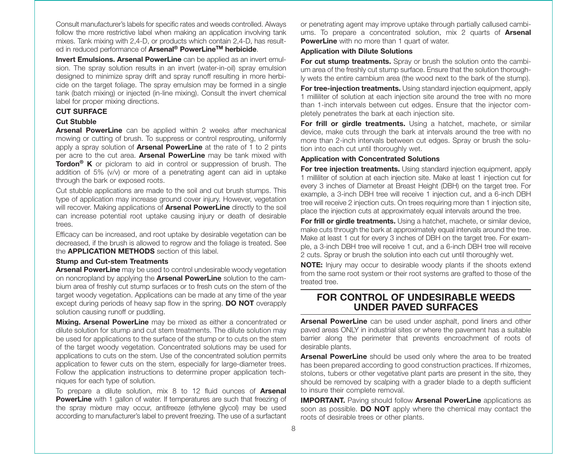Consult manufacturer's labels for specific rates and weeds controlled. Always follow the more restrictive label when making an application involving tank mixes. Tank mixing with 2,4-D, or products which contain 2,4-D, has resulted in reduced performance of **Arsenal ® PowerLineTM herbicide**.

**Invert Emulsions. Arsenal PowerLine** can be applied as an invert emulsion. The spray solution results in an invert (water-in-oil) spray emulsion designed to minimize spray drift and spray runoff resulting in more herbicide on the target foliage. The spray emulsion may be formed in a single tank (batch mixing) or injected (in-line mixing). Consult the invert chemical label for proper mixing directions.

#### **CUT SURFACE**

#### **Cut Stubble**

**Arsenal PowerLine** can be applied within 2 weeks after mechanical mowing or cutting of brush. To suppress or control resprouting, uniformly apply a spray solution of **Arsenal PowerLine** at the rate of 1 to 2 pints per acre to the cut area. **Arsenal PowerLine** may be tank mixed with **Tordon® K** or picloram to aid in control or suppression of brush. The addition of 5% (v/v) or more of a penetrating agent can aid in uptake through the bark or exposed roots.

Cut stubble applications are made to the soil and cut brush stumps. This type of application may increase ground cover injury. However, vegetation will recover. Making applications of **Arsenal PowerLine** directly to the soil can increase potential root uptake causing injury or death of desirable trees.

Efficacy can be increased, and root uptake by desirable vegetation can be decreased, if the brush is allowed to regrow and the foliage is treated. See the **APPLICATION METHODS** section of this label.

#### **Stump and Cut-stem Treatments**

**Arsenal PowerLine** may be used to control undesirable woody vegetation on noncropland by applying the **Arsenal PowerLine** solution to the cambium area of freshly cut stump surfaces or to fresh cuts on the stem of the target woody vegetation. Applications can be made at any time of the year except during periods of heavy sap flow in the spring. **DO NOT** overapply solution causing runoff or puddling.

**Mixing. Arsenal PowerLine** may be mixed as either a concentrated or dilute solution for stump and cut stem treatments. The dilute solution may be used for applications to the surface of the stump or to cuts on the stem of the target woody vegetation. Concentrated solutions may be used for applications to cuts on the stem. Use of the concentrated solution permits application to fewer cuts on the stem, especially for large-diameter trees. Follow the application instructions to determine proper application techniques for each type of solution.

To prepare a dilute solution, mix 8 to 12 fluid ounces of **Arsenal PowerLine** with 1 gallon of water. If temperatures are such that freezing of the spray mixture may occur, antifreeze (ethylene glycol) may be used according to manufacturer's label to prevent freezing. The use of a surfactant or penetrating agent may improve uptake through partially callused cambiums. To prepare a concentrated solution, mix 2 quarts of **Arsenal PowerLine** with no more than 1 quart of water.

#### **Application with Dilute Solutions**

**For cut stump treatments.** Spray or brush the solution onto the cambium area of the freshly cut stump surface. Ensure that the solution thoroughly wets the entire cambium area (the wood next to the bark of the stump).

**For tree-injection treatments.** Using standard injection equipment, apply 1 milliliter of solution at each injection site around the tree with no more than 1-inch intervals between cut edges. Ensure that the injector completely penetrates the bark at each injection site.

**For frill or girdle treatments.** Using a hatchet, machete, or similar device, make cuts through the bark at intervals around the tree with no more than 2-inch intervals between cut edges. Spray or brush the solution into each cut until thoroughly wet.

#### **Application with Concentrated Solutions**

**For tree injection treatments.** Using standard injection equipment, apply 1 milliliter of solution at each injection site. Make at least 1 injection cut for every 3 inches of Diameter at Breast Height (DBH) on the target tree. For example, a 3-inch DBH tree will receive 1 injection cut, and a 6-inch DBH tree will receive 2 injection cuts. On trees requiring more than 1 injection site, place the injection cuts at approximately equal intervals around the tree.

**For frill or girdle treatments.** Using a hatchet, machete, or similar device, make cuts through the bark at approximately equal intervals around the tree. Make at least 1 cut for every 3 inches of DBH on the target tree. For example, a 3-inch DBH tree will receive 1 cut, and a 6-inch DBH tree will receive 2 cuts. Spray or brush the solution into each cut until thoroughly wet.

**NOTE:** Injury may occur to desirable woody plants if the shoots extend from the same root system or their root systems are grafted to those of the treated tree.

## **FOR CONTROL OF UNDESIRABLE WEEDSUNDER PAVED SURFACES**

**Arsenal PowerLine** can be used under asphalt, pond liners and other paved areas ONLY in industrial sites or where the pavement has a suitable barrier along the perimeter that prevents encroachment of roots of desirable plants.

**Arsenal PowerLine** should be used only where the area to be treated has been prepared according to good construction practices. If rhizomes, stolons, tubers or other vegetative plant parts are present in the site, they should be removed by scalping with a grader blade to a depth sufficient to insure their complete removal.

**IMPORTANT.** Paving should follow **Arsenal PowerLine** applications as soon as possible. **DO NOT** apply where the chemical may contact the roots of desirable trees or other plants.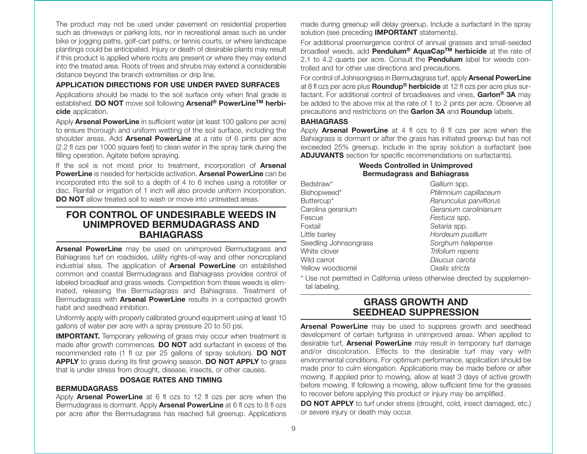The product may not be used under pavement on residential properties such as driveways or parking lots, nor in recreational areas such as under bike or jogging paths, golf-cart paths, or tennis courts, or where landscape plantings could be anticipated. Injury or death of desirable plants may result if this product is applied where roots are present or where they may extend into the treated area. Roots of trees and shrubs may extend a considerable distance beyond the branch extremities or drip line.

#### **APPLICATION DIRECTIONS FOR USE UNDER PAVED SURFACES**

Applications should be made to the soil surface only when final grade is established. **DO NOT** move soil following **Arsenal ® PowerLineTM herbicide** application.

Apply **Arsenal PowerLine** in sufficient water (at least 100 gallons per acre) to ensure thorough and uniform wetting of the soil surface, including the shoulder areas. Add **Arsenal PowerLine** at a rate of 6 pints per acre (2.2 fl ozs per 1000 square feet) to clean water in the spray tank during the filling operation. Agitate before spraying.

If the soil is not moist prior to treatment, incorporation of **Arsenal PowerLine** is needed for herbicide activation. **Arsenal PowerLine** can be incorporated into the soil to a depth of 4 to 6 inches using a rototiller or disc. Rainfall or irrigation of 1 inch will also provide uniform incorporation. **DO NOT** allow treated soil to wash or move into untreated areas.

## **FOR CONTROL OF UNDESIRABLE WEEDS INUNIMPROVED BERMUDAGRASS ANDBAHIAGRASS**

**Arsenal PowerLine** may be used on unimproved Bermudagrass and Bahiagrass turf on roadsides, utility rights-of-way and other noncropland industrial sites. The application of **Arsenal PowerLine** on established common and coastal Bermudagrass and Bahiagrass provides control of labeled broadleaf and grass weeds. Competition from these weeds is eliminated, releasing the Bermudagrass and Bahiagrass. Treatment of Bermudagrass with **Arsenal PowerLine** results in a compacted growth habit and seedhead inhibition.

Uniformly apply with properly calibrated ground equipment using at least 10 gallons of water per acre with a spray pressure 20 to 50 psi.

**IMPORTANT.** Temporary yellowing of grass may occur when treatment is made after growth commences. **DO NOT** add surfactant in excess of the recommended rate (1 fl oz per 25 gallons of spray solution). **DO NOT APPLY** to grass during its first growing season. **DO NOT APPLY** to grass that is under stress from drought, disease, insects, or other causes.

#### **DOSAGE RATES AND TIMING**

#### **BERMUDAGRASS**

Apply **Arsenal PowerLine** at 6 fl ozs to 12 fl ozs per acre when the Bermudagrass is dormant. Apply **Arsenal PowerLine** at 6 fl ozs to 8 fl ozs per acre after the Bermudagrass has reached full greenup. Applications made during greenup will delay greenup. Include a surfactant in the spray solution (see preceding **IMPORTANT** statements).

For additional preemergence control of annual grasses and small-seeded broadleaf weeds, add **Pendulum ® AquaCapTM herbicide** at the rate of 2.1 to 4.2 quarts per acre. Consult the **Pendulum** label for weeds controlled and for other use directions and precautions.

For control of Johnsongrass in Bermudagrass turf, apply **Arsenal PowerLine** at 8 fl ozs per acre plus **Roundup ® herbicide** at 12 fl ozs per acre plus surfactant. For additional control of broadleaves and vines, **Garlon ® 3A** may be added to the above mix at the rate of 1 to 2 pints per acre. Observe all precautions and restrictions on the **Garlon 3A** and **Roundup** labels.

#### **BAHIAGRASS**

Apply **Arsenal PowerLine** at 4 fl ozs to 8 fl ozs per acre when the Bahiagrass is dormant or after the grass has initiated greenup but has not exceeded 25% greenup. Include in the spray solution a surfactant (see **ADJUVANTS** section for specific recommendations on surfactants).

#### **Weeds Controlled in Unimproved Bermudagrass and Bahiagrass**

| Bedstraw*             | Gallium spp.           |
|-----------------------|------------------------|
| Bishopweed*           | Ptilimnium capillaceum |
| Buttercup*            | Ranunculus parviflorus |
| Carolina geranium     | Geranium carolinianum  |
| Fescue                | Festuca spp.           |
| Foxtail               | Setaria spp.           |
| Little barley         | Hordeum pusillum       |
| Seedling Johnsongrass | Sorghum halepense      |
| White clover          | Trifolium repens       |
| Wild carrot           | Daucus carota          |
| Yellow woodsorrel     | Oxalis stricta         |

\* Use not permitted in California unless otherwise directed by supplemental labeling.

## **GRASS GROWTH AND SEEDHEAD SUPPRESSION**

**Arsenal PowerLine** may be used to suppress growth and seedhead development of certain turfgrass in unimproved areas. When applied to desirable turf, **Arsenal PowerLine** may result in temporary turf damage and/or discoloration. Effects to the desirable turf may vary with environmental conditions. For optimum performance, application should be made prior to culm elongation. Applications may be made before or after mowing. If applied prior to mowing, allow at least 3 days of active growth before mowing. If following a mowing, allow sufficient time for the grasses to recover before applying this product or injury may be amplified.

**DO NOT APPLY** to turf under stress (drought, cold, insect damaged, etc.) or severe injury or death may occur.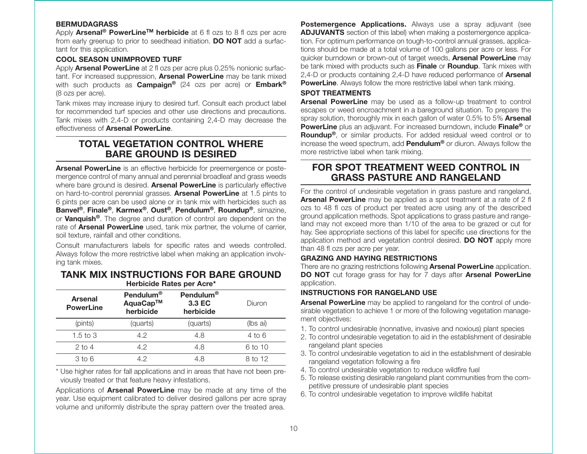#### **BERMUDAGRASS**

Apply **Arsenal ® PowerLineTM herbicide** at 6 fl ozs to 8 fl ozs per acre from early greenup to prior to seedhead initiation. **DO NOT** add a surfactant for this application.

#### **COOL SEASON UNIMPROVED TURF**

Apply **Arsenal PowerLine** at 2 fl ozs per acre plus 0.25% nonionic surfactant. For increased suppression, **Arsenal PowerLine** may be tank mixed with such products as **Campaign ®** (24 ozs per acre) or **Embark ®** (8 ozs per acre).

Tank mixes may increase injury to desired turf. Consult each product label for recommended turf species and other use directions and precautions. Tank mixes with 2,4-D or products containing 2,4-D may decrease the effectiveness of **Arsenal PowerLine**.

# **TOTAL VEGETATION CONTROL WHERE BARE GROUND IS DESIRED**

**Arsenal PowerLine** is an effective herbicide for preemergence or postemergence control of many annual and perennial broadleaf and grass weeds where bare ground is desired. **Arsenal PowerLine** is particularly effective on hard-to-control perennial grasses. **Arsenal PowerLine** at 1.5 pints to 6 pints per acre can be used alone or in tank mix with herbicides such as **Banvel ®** , **Finale ®** , **Karmex ®** , **Oust ®** , **Pendulum ®** , **Roundup ®**, simazine, or **Vanquish ®**. The degree and duration of control are dependent on the rate of **Arsenal PowerLine** used, tank mix partner, the volume of carrier, soil texture, rainfall and other conditions.

Consult manufacturers labels for specific rates and weeds controlled. Always follow the more restrictive label when making an application involving tank mixes.

#### **TANK MIX INSTRUCTIONS FOR BARE GROUNDHerbicide Rates per Acre\***

| <b>Arsenal</b><br><b>PowerLine</b> | Pendulum <sup>®</sup><br>AquaCap™<br>herbicide | Pendulum <sup>®</sup><br>3.3 EC<br>herbicide | Diuron   |
|------------------------------------|------------------------------------------------|----------------------------------------------|----------|
| (pints)                            | (quarts)                                       | (quarts)                                     | (lbs ai) |
| 1.5 to 3                           | 42                                             | 4.8                                          | 4 to 6   |
| $2$ to 4                           | 4.2                                            | 4.8                                          | 6 to 10  |
| 3 to 6                             | 42                                             | 4.8                                          | 8 to 12  |

\* Use higher rates for fall applications and in areas that have not been previously treated or that feature heavy infestations.

Applications of **Arsenal PowerLine** may be made at any time of the year. Use equipment calibrated to deliver desired gallons per acre spray volume and uniformly distribute the spray pattern over the treated area.

**Postemergence Applications.** Always use a spray adjuvant (see **ADJUVANTS** section of this label) when making a postemergence application. For optimum performance on tough-to-control annual grasses, applications should be made at a total volume of 100 gallons per acre or less. For quicker burndown or brown-out of target weeds, **Arsenal PowerLine** may be tank mixed with products such as **Finale** or **Roundup**. Tank mixes with 2,4-D or products containing 2,4-D have reduced performance of **Arsenal PowerLine.** Always follow the more restrictive label when tank mixing.

#### **SPOT TREATMENTS**

**Arsenal PowerLine** may be used as a follow-up treatment to control escapes or weed encroachment in a bareground situation. To prepare the spray solution, thoroughly mix in each gallon of water 0.5% to 5% **Arsenal PowerLine** plus an adjuvant. For increased burndown, include **Finale ®** or **Roundup ®**, or similar products. For added residual weed control or to increase the weed spectrum, add **Pendulum ®** or diuron. Always follow the more restrictive label when tank mixing.

# **FOR SPOT TREATMENT WEED CONTROL INGRASS PASTURE AND RANGELAND**

For the control of undesirable vegetation in grass pasture and rangeland, **Arsenal PowerLine** may be applied as a spot treatment at a rate of 2 fl ozs to 48 fl ozs of product per treated acre using any of the described ground application methods. Spot applications to grass pasture and rangeland may not exceed more than 1/10 of the area to be grazed or cut for hay. See appropriate sections of this label for specific use directions for the application method and vegetation control desired. **DO NOT** apply more than 48 fl ozs per acre per year.

#### **GRAZING AND HAYING RESTRICTIONS**

There are no grazing restrictions following **Arsenal PowerLine** application. **DO NOT** cut forage grass for hay for 7 days after **Arsenal PowerLine** application.

#### **INSTRUCTIONS FOR RANGELAND USE**

**Arsenal PowerLine** may be applied to rangeland for the control of undesirable vegetation to achieve 1 or more of the following vegetation management objectives:

- 1. To control undesirable (nonnative, invasive and noxious) plant species
- 2. To control undesirable vegetation to aid in the establishment of desirable rangeland plant species
- 3. To control undesirable vegetation to aid in the establishment of desirable rangeland vegetation following a fire
- 4. To control undesirable vegetation to reduce wildfire fuel
- 5. To release existing desirable rangeland plant communities from the competitive pressure of undesirable plant species
- 6. To control undesirable vegetation to improve wildlife habitat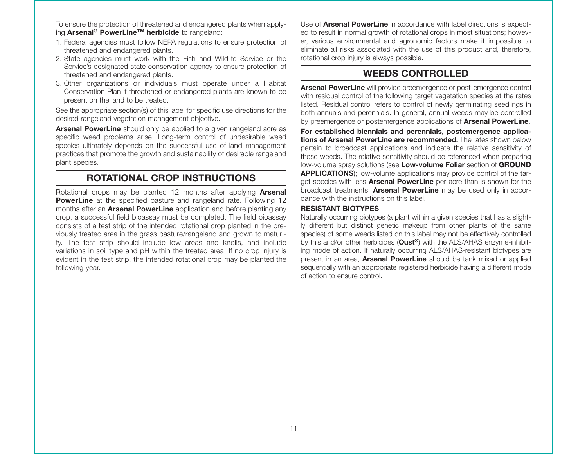To ensure the protection of threatened and endangered plants when applying **Arsenal ® PowerLineTM herbicide** to rangeland:

- 1. Federal agencies must follow NEPA regulations to ensure protection of threatened and endangered plants.
- 2. State agencies must work with the Fish and Wildlife Service or the Service's designated state conservation agency to ensure protection of threatened and endangered plants.
- 3. Other organizations or individuals must operate under a Habitat Conservation Plan if threatened or endangered plants are known to be present on the land to be treated.

See the appropriate section(s) of this label for specific use directions for the desired rangeland vegetation management objective.

**Arsenal PowerLine** should only be applied to a given rangeland acre as specific weed problems arise. Long-term control of undesirable weed species ultimately depends on the successful use of land management practices that promote the growth and sustainability of desirable rangeland plant species.

# **ROTATIONAL CROP INSTRUCTIONS**

Rotational crops may be planted 12 months after applying **Arsenal PowerLine** at the specified pasture and rangeland rate. Following 12 months after an **Arsenal PowerLine** application and before planting any crop, a successful field bioassay must be completed. The field bioassay consists of a test strip of the intended rotational crop planted in the previously treated area in the grass pasture/rangeland and grown to maturity. The test strip should include low areas and knolls, and include variations in soil type and pH within the treated area. If no crop injury is evident in the test strip, the intended rotational crop may be planted the following year.

Use of **Arsenal PowerLine** in accordance with label directions is expected to result in normal growth of rotational crops in most situations; however, various environmental and agronomic factors make it impossible to eliminate all risks associated with the use of this product and, therefore, rotational crop injury is always possible.

# **WEEDS CONTROLLED**

**Arsenal PowerLine** will provide preemergence or post-emergence control with residual control of the following target vegetation species at the rates listed. Residual control refers to control of newly germinating seedlings in both annuals and perennials. In general, annual weeds may be controlled by preemergence or postemergence applications of **Arsenal PowerLine**.

**For established biennials and perennials, postemergence applications of Arsenal PowerLine are recommended.** The rates shown belowpertain to broadcast applications and indicate the relative sensitivity of these weeds. The relative sensitivity should be referenced when preparing low-volume spray solutions (see **Low- volume Foliar** section of **GROUND APPLICATIONS**); low-volume applications may provide control of the target species with less **Arsenal PowerLine** per acre than is shown for the broadcast treatments. **Arsenal PowerLine** may be used only in accordance with the instructions on this label.

#### **RESISTANT BIOTYPES**

Naturally occurring biotypes (a plant within a given species that has a slightly different but distinct genetic makeup from other plants of the same species) of some weeds listed on this label may not be effectively controlled by this and/or other herbicides (**Oust ®**) with the ALS/AHAS enzyme-inhibiting mode of action. If naturally occurring ALS/AHAS-resistant biotypes are present in an area, **Arsenal PowerLine** should be tank mixed or applied sequentially with an appropriate registered herbicide having a different mode of action to ensure control.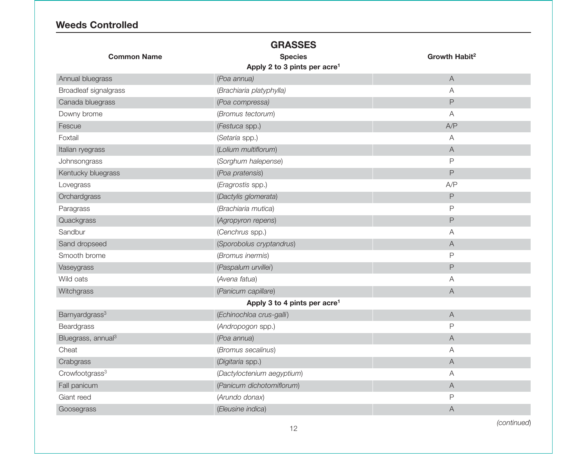# **Weeds Controlled**

|                                | <b>GRASSES</b>                           |                           |
|--------------------------------|------------------------------------------|---------------------------|
| <b>Common Name</b>             | <b>Species</b>                           | Growth Habit <sup>2</sup> |
|                                | Apply 2 to 3 pints per acre <sup>1</sup> |                           |
| Annual bluegrass               | (Poa annua)                              | $\mathsf A$               |
| Broadleaf signalgrass          | (Brachiaria platyphylla)                 | A                         |
| Canada bluegrass               | (Poa compressa)                          | P                         |
| Downy brome                    | (Bromus tectorum)                        | A                         |
| Fescue                         | (Festuca spp.)                           | A/P                       |
| Foxtail                        | (Setaria spp.)                           | $\overline{A}$            |
| Italian ryegrass               | (Lolium multiflorum)                     | $\overline{A}$            |
| Johnsongrass                   | (Sorghum halepense)                      | P                         |
| Kentucky bluegrass             | (Poa pratensis)                          | P                         |
| Lovegrass                      | (Eragrostis spp.)                        | A/P                       |
| Orchardgrass                   | (Dactylis glomerata)                     | $\mathsf P$               |
| Paragrass                      | (Brachiaria mutica)                      | P                         |
| Quackgrass                     | (Agropyron repens)                       | P                         |
| Sandbur                        | (Cenchrus spp.)                          | A                         |
| Sand dropseed                  | (Sporobolus cryptandrus)                 | $\mathsf A$               |
| Smooth brome                   | (Bromus inermis)                         | P                         |
| Vaseygrass                     | (Paspalum urvillei)                      | $\mathsf{P}$              |
| Wild oats                      | (Avena fatua)                            | Α                         |
| Witchgrass                     | (Panicum capillare)                      | $\mathsf A$               |
|                                | Apply 3 to 4 pints per acre <sup>1</sup> |                           |
| Barnyardgrass <sup>3</sup>     | (Echinochloa crus-galli)                 | $\mathsf A$               |
| Beardgrass                     | (Andropogon spp.)                        | $\mathsf P$               |
| Bluegrass, annual <sup>3</sup> | (Poa annua)                              | $\mathsf A$               |
| Cheat                          | (Bromus secalinus)                       | A                         |
| Crabgrass                      | (Digitaria spp.)                         | $\mathsf A$               |
| Crowfootgrass <sup>3</sup>     | (Dactyloctenium aegyptium)               | A                         |
| Fall panicum                   | (Panicum dichotomiflorum)                | $\mathsf A$               |
| Giant reed                     | (Arundo donax)                           | P                         |
| Goosegrass                     | (Eleusine indica)                        | Α                         |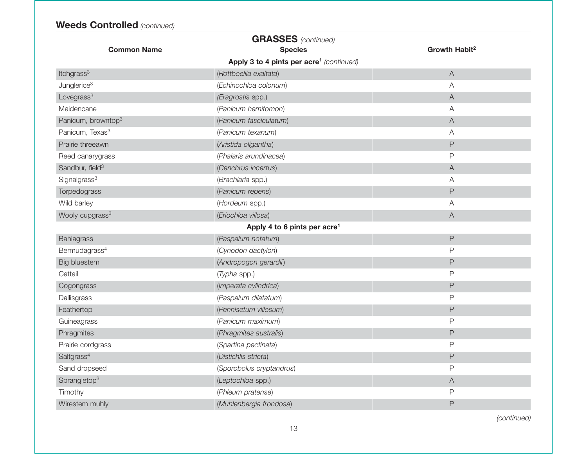# **Weeds Controlled** *(continued)*

|                                | <b>GRASSES</b> (continued)                           |                           |
|--------------------------------|------------------------------------------------------|---------------------------|
| <b>Common Name</b>             | <b>Species</b>                                       | Growth Habit <sup>2</sup> |
|                                | Apply 3 to 4 pints per acre <sup>1</sup> (continued) |                           |
| Itchgrass <sup>3</sup>         | (Rottboellia exaltata)                               | $\boldsymbol{\mathsf{A}}$ |
| Junglerice <sup>3</sup>        | (Echinochloa colonum)                                | Α                         |
| Lovegrass <sup>3</sup>         | (Eragrostis spp.)                                    | $\mathsf A$               |
| Maidencane                     | (Panicum hemitomon)                                  | Α                         |
| Panicum, browntop <sup>3</sup> | (Panicum fasciculatum)                               | A                         |
| Panicum, Texas <sup>3</sup>    | (Panicum texanum)                                    | A                         |
| Prairie threeawn               | (Aristida oligantha)                                 | $\mathsf P$               |
| Reed canarygrass               | (Phalaris arundinacea)                               | P                         |
| Sandbur, field <sup>3</sup>    | (Cenchrus incertus)                                  | $\mathsf A$               |
| Signalgrass <sup>3</sup>       | (Brachiaria spp.)                                    | Α                         |
| Torpedograss                   | (Panicum repens)                                     | $\mathsf{P}$              |
| Wild barley                    | (Hordeum spp.)                                       | Α                         |
| Wooly cupgrass <sup>3</sup>    | (Eriochloa villosa)                                  | A                         |
|                                | Apply 4 to 6 pints per acre <sup>1</sup>             |                           |
| Bahiagrass                     | (Paspalum notatum)                                   | $\mathsf{P}$              |
| Bermudagrass <sup>4</sup>      | (Cynodon dactylon)                                   | P                         |
| <b>Big bluestem</b>            | (Andropogon gerardii)                                | P                         |
| Cattail                        | (Typha spp.)                                         | $\mathsf{P}$              |
| Cogongrass                     | (Imperata cylindrica)                                | $\mathsf P$               |
| Dallisgrass                    | (Paspalum dilatatum)                                 | P                         |
| Feathertop                     | (Pennisetum villosum)                                | $\mathsf{P}$              |
| Guineagrass                    | (Panicum maximum)                                    | $\mathsf{P}$              |
| Phragmites                     | (Phragmites australis)                               | $\mathsf P$               |
| Prairie cordgrass              | (Spartina pectinata)                                 | $\mathsf{P}$              |
| Saltgrass <sup>4</sup>         | (Distichlis stricta)                                 | $\mathsf P$               |
| Sand dropseed                  | (Sporobolus cryptandrus)                             | P                         |
| Sprangletop <sup>3</sup>       | (Leptochloa spp.)                                    | $\mathsf A$               |
| Timothy                        | (Phleum pratense)                                    | P                         |
| Wirestem muhly                 | (Muhlenbergia frondosa)                              | $\mathsf{P}$              |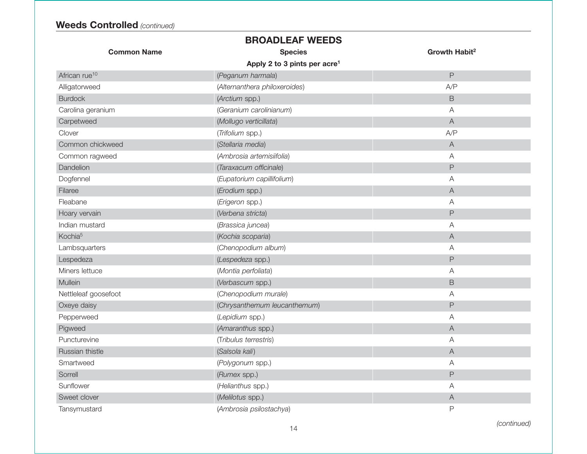|                           | <b>BROADLEAF WEEDS</b>                   |                           |
|---------------------------|------------------------------------------|---------------------------|
| <b>Common Name</b>        | <b>Species</b>                           | Growth Habit <sup>2</sup> |
|                           | Apply 2 to 3 pints per acre <sup>1</sup> |                           |
| African rue <sup>10</sup> | (Peganum harmala)                        | $\overline{P}$            |
| Alligatorweed             | (Alternanthera philoxeroides)            | A/P                       |
| <b>Burdock</b>            | (Arctium spp.)                           | $\mathsf B$               |
| Carolina geranium         | (Geranium carolinianum)                  | A                         |
| Carpetweed                | (Mollugo verticillata)                   | $\boldsymbol{\mathsf{A}}$ |
| Clover                    | (Trifolium spp.)                         | A/P                       |
| Common chickweed          | (Stellaria media)                        | $\boldsymbol{\mathsf{A}}$ |
| Common ragweed            | (Ambrosia artemisiifolia)                | $\overline{A}$            |
| Dandelion                 | (Taraxacum officinale)                   | $\mathsf{P}$              |
| Dogfennel                 | (Eupatorium capillifolium)               | Α                         |
| Filaree                   | (Erodium spp.)                           | $\boldsymbol{\mathsf{A}}$ |
| Fleabane                  | (Erigeron spp.)                          | A                         |
| Hoary vervain             | (Verbena stricta)                        | $\mathsf{P}$              |
| Indian mustard            | (Brassica juncea)                        | A                         |
| Kochia <sup>5</sup>       | (Kochia scoparia)                        | $\overline{A}$            |
| Lambsquarters             | (Chenopodium album)                      | Α                         |
| Lespedeza                 | (Lespedeza spp.)                         | $\overline{P}$            |
| Miners lettuce            | (Montia perfoliata)                      | A                         |
| Mullein                   | (Verbascum spp.)                         | B                         |
| Nettleleaf goosefoot      | (Chenopodium murale)                     | A                         |
| Oxeye daisy               | (Chrysanthemum leucanthemum)             | $\mathsf P$               |
| Pepperweed                | (Lepidium spp.)                          | A                         |
| Pigweed                   | (Amaranthus spp.)                        | $\boldsymbol{\mathsf{A}}$ |
| Puncturevine              | (Tribulus terrestris)                    | Α                         |
| Russian thistle           | (Salsola kali)                           | $\boldsymbol{\mathsf{A}}$ |
| Smartweed                 | (Polygonum spp.)                         | $\overline{A}$            |
| Sorrell                   | (Rumex spp.)                             | $\mathsf{P}$              |
| Sunflower                 | (Helianthus spp.)                        | A                         |
| Sweet clover              | (Melilotus spp.)                         | $\forall$                 |
| Tansymustard              | (Ambrosia psilostachya)                  | P                         |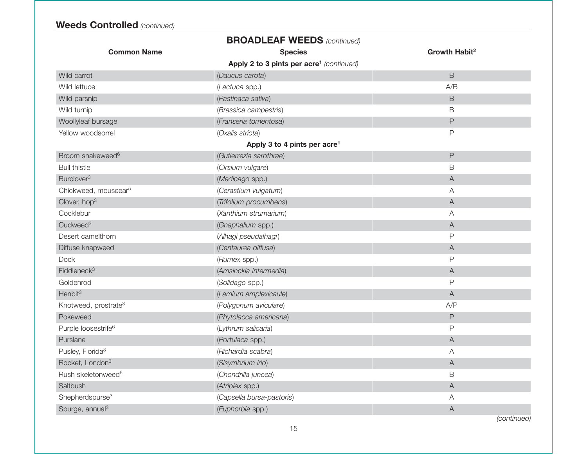| <b>BROADLEAF WEEDS (continued)</b> |                                                      |                           |  |
|------------------------------------|------------------------------------------------------|---------------------------|--|
| <b>Common Name</b>                 | <b>Species</b>                                       | Growth Habit <sup>2</sup> |  |
|                                    | Apply 2 to 3 pints per acre <sup>1</sup> (continued) |                           |  |
| Wild carrot                        | (Daucus carota)                                      | $\mathsf B$               |  |
| Wild lettuce                       | (Lactuca spp.)                                       | A/B                       |  |
| Wild parsnip                       | (Pastinaca sativa)                                   | $\mathsf B$               |  |
| Wild turnip                        | (Brassica campestris)                                | B                         |  |
| Woollyleaf bursage                 | (Franseria tomentosa)                                | $\mathsf{P}$              |  |
| Yellow woodsorrel                  | (Oxalis stricta)                                     | $\mathsf{P}$              |  |
|                                    | Apply 3 to 4 pints per acre <sup>1</sup>             |                           |  |
| Broom snakeweed <sup>6</sup>       | (Gutierrezia sarothrae)                              | $\mathsf{P}$              |  |
| <b>Bull thistle</b>                | (Cirsium vulgare)                                    | B                         |  |
| Burclover <sup>3</sup>             | (Medicago spp.)                                      | $\forall$                 |  |
| Chickweed, mouseear <sup>5</sup>   | (Cerastium vulgatum)                                 | Α                         |  |
| Clover, hop <sup>3</sup>           | (Trifolium procumbens)                               | $\forall$                 |  |
| Cocklebur                          | (Xanthium strumarium)                                | Α                         |  |
| Cudweed <sup>3</sup>               | (Gnaphalium spp.)                                    | $\mathsf A$               |  |
| Desert camelthorn                  | (Alhagi pseudalhagi)                                 | P                         |  |
| Diffuse knapweed                   | (Centaurea diffusa)                                  | A                         |  |
| Dock                               | (Rumex spp.)                                         | $\mathsf{P}$              |  |
| Fiddleneck <sup>3</sup>            | (Amsinckia intermedia)                               | $\forall$                 |  |
| Goldenrod                          | (Solidago spp.)                                      | P                         |  |
| Henbit <sup>3</sup>                | (Lamium amplexicaule)                                | $\forall$                 |  |
| Knotweed, prostrate <sup>3</sup>   | (Polygonum aviculare)                                | A/P                       |  |
| Pokeweed                           | (Phytolacca americana)                               | $\mathsf P$               |  |
| Purple loosestrife <sup>6</sup>    | (Lythrum salicaria)                                  | $\mathsf{P}$              |  |
| Purslane                           | (Portulaca spp.)                                     | A                         |  |
| Pusley, Florida <sup>3</sup>       | (Richardia scabra)                                   | A                         |  |
| Rocket, London <sup>3</sup>        | (Sisymbrium irio)                                    | $\forall$                 |  |
| Rush skeletonweed <sup>6</sup>     | (Chondrilla juncea)                                  | B                         |  |
| Saltbush                           | (Atriplex spp.)                                      | $\mathsf A$               |  |
| Shepherdspurse <sup>3</sup>        | (Capsella bursa-pastoris)                            | A                         |  |
| Spurge, annual <sup>3</sup>        | (Euphorbia spp.)                                     | $\boldsymbol{\mathsf{A}}$ |  |
|                                    |                                                      |                           |  |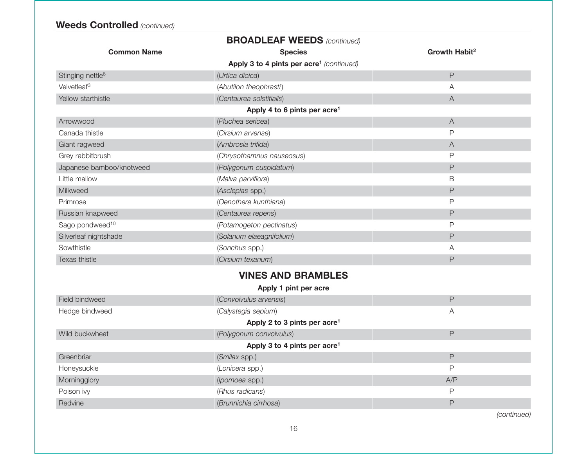**Weeds Controlled** *(continued)*

|                              | <b>BROADLEAF WEEDS (continued)</b>                   |                           |
|------------------------------|------------------------------------------------------|---------------------------|
| <b>Common Name</b>           | <b>Species</b>                                       | Growth Habit <sup>2</sup> |
|                              | Apply 3 to 4 pints per acre <sup>1</sup> (continued) |                           |
| Stinging nettle <sup>6</sup> | (Urtica dioica)                                      | P                         |
| Velvetleaf <sup>3</sup>      | (Abutilon theophrasti)                               | Α                         |
| Yellow starthistle           | (Centaurea solstitialis)                             | A                         |
|                              | Apply 4 to 6 pints per $\arccos 4$                   |                           |
| Arrowwood                    | (Pluchea sericea)                                    | $\overline{A}$            |
| Canada thistle               | (Cirsium arvense)                                    | P                         |
| Giant ragweed                | (Ambrosia trifida)                                   | $\overline{A}$            |
| Grey rabbitbrush             | (Chrysothamnus nauseosus)                            | $\mathsf{P}$              |
| Japanese bamboo/knotweed     | (Polygonum cuspidatum)                               | P                         |
| Little mallow                | (Malva parviflora)                                   | B                         |
| Milkweed                     | (Asclepias spp.)                                     | P                         |
| Primrose                     | (Oenothera kunthiana)                                | P                         |
| Russian knapweed             | (Centaurea repens)                                   | P                         |
| Sago pondweed <sup>10</sup>  | (Potamogeton pectinatus)                             | $\mathsf{P}$              |
| Silverleaf nightshade        | (Solanum elaeagnifolium)                             | P                         |
| Sowthistle                   | (Sonchus spp.)                                       | Α                         |
| Texas thistle                | (Cirsium texanum)                                    | P                         |
|                              | <b>VINES AND BRAMBLES</b>                            |                           |
|                              | Apply 1 pint per acre                                |                           |
| Field bindweed               | (Convolvulus arvensis)                               | P                         |
| Hedge bindweed               | (Calystegia sepium)                                  | A                         |
|                              | Apply 2 to 3 pints per acre <sup>1</sup>             |                           |
| Wild buckwheat               | (Polygonum convolvulus)                              | P                         |
|                              | Apply 3 to 4 pints per acre <sup>1</sup>             |                           |
| Greenbriar                   | (Smilax spp.)                                        | P                         |
| Honeysuckle                  | (Lonicera spp.)                                      | $\mathsf{P}$              |
| Morningglory                 | (Ipomoea spp.)                                       | A/P                       |
| Poison ivy                   | (Rhus radicans)                                      | $\mathsf{P}$              |
| Redvine                      | (Brunnichia cirrhosa)                                | P                         |
|                              |                                                      |                           |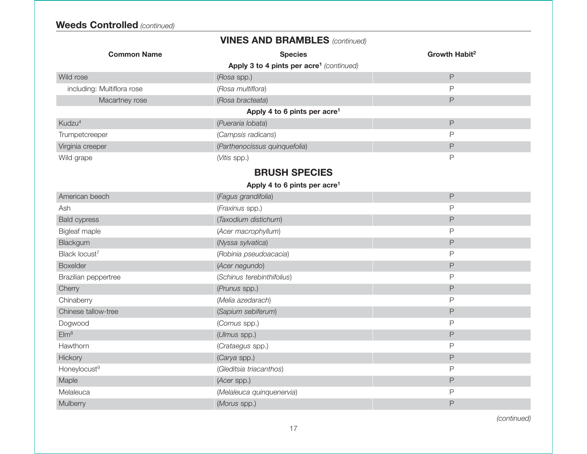# **Weeds Controlled** *(continued)*

| <b>VINES AND BRAMBLES</b> (continued) |
|---------------------------------------|
|---------------------------------------|

| <b>Common Name</b>                                   | <b>Species</b>                | Growth Habit <sup>2</sup> |  |  |
|------------------------------------------------------|-------------------------------|---------------------------|--|--|
| Apply 3 to 4 pints per acre <sup>1</sup> (continued) |                               |                           |  |  |
| Wild rose                                            | (Rosa spp.)                   | $\mathsf P$               |  |  |
| including: Multiflora rose                           | (Rosa multiflora)             | P                         |  |  |
| Macartney rose                                       | (Rosa bracteata)              | $\mathsf P$               |  |  |
| Apply 4 to 6 pints per acre <sup>1</sup>             |                               |                           |  |  |
| Kudzu <sup>4</sup>                                   | (Pueraria Iobata)             | P                         |  |  |
| Trumpetcreeper                                       | (Campsis radicans)            | P                         |  |  |
| Virginia creeper                                     | (Parthenocissus quinquefolia) | P                         |  |  |
| Wild grape                                           | (Vitis spp.)                  | P                         |  |  |
| <b>BRUSH SPECIES</b>                                 |                               |                           |  |  |
| Apply 4 to 6 pints per acre <sup>1</sup>             |                               |                           |  |  |
| American beech                                       | (Fagus grandifolia)           | P                         |  |  |
| Ash                                                  | (Fraxinus spp.)               | P                         |  |  |
| <b>Bald cypress</b>                                  | (Taxodium distichum)          | $\mathsf P$               |  |  |
| <b>Bigleaf maple</b>                                 | (Acer macrophyllum)           | P                         |  |  |
| Blackgum                                             | (Nyssa sylvatica)             | P                         |  |  |
| Black locust <sup>7</sup>                            | (Robinia pseudoacacia)        | P                         |  |  |
| <b>Boxelder</b>                                      | (Acer negundo)                | $\mathsf P$               |  |  |
| Brazilian peppertree                                 | (Schinus terebinthifolius)    | P                         |  |  |
| Cherry                                               | (Prunus spp.)                 | P                         |  |  |
| Chinaberry                                           | (Melia azedarach)             | P                         |  |  |
| Chinese tallow-tree                                  | (Sapium sebiferum)            | P                         |  |  |
| Dogwood                                              | (Cornus spp.)                 | P                         |  |  |
| Elm <sup>8</sup>                                     | (Ulmus spp.)                  | P                         |  |  |
| Hawthorn                                             | (Crataegus spp.)              | P                         |  |  |
| Hickory                                              | (Carya spp.)                  | P                         |  |  |
| Honeylocust <sup>9</sup>                             | (Gleditsia triacanthos)       | P                         |  |  |
| Maple                                                | (Acer spp.)                   | P                         |  |  |
| Melaleuca                                            | (Melaleuca quinquenervia)     | P                         |  |  |
| Mulberry                                             | (Morus spp.)                  | P                         |  |  |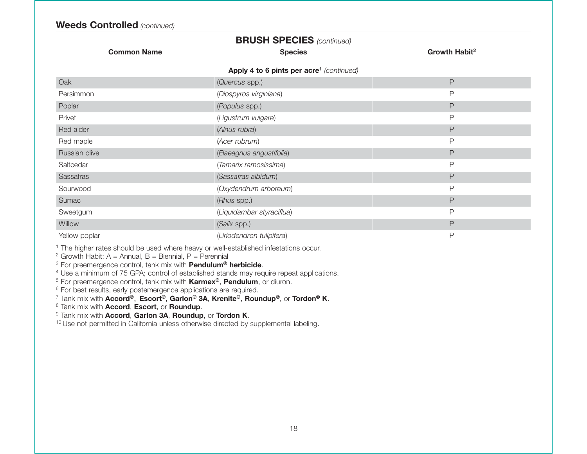# **BRUSH SPECIES** *(continued)*

**Common Name Species Growth Habit<sup>2</sup> Apply 4 to 6 pints per acre1** *(continued)* Oak (*Quercus* spp.) P Persimmon (*Diospyros virginiana*) P Poplar (*Populus* spp.) P Privet (*Ligustrum vulgare*) P Red alder (*Alnus rubra*) P Red maple *Acer rubrum P P P P P P* Russian olive (*Elaeagnus angustifolia*) P Saltcedar (*Tamarix ramosissima*) P Sassafras (*Sassafras albidum*) P Sourwood(Oxydendrum arboreum) extended to the property of the property of the property of the property of the property of the property of the property of the property of the property of the property of the property of the property Sumac (*Rhus* spp.) P Sweetgum (*Liquidambar styraciflua*) P **Willow**  (*Salix* spp.) P Yellow poplar (*Liriodendron tulipifera*) P

<sup>1</sup> The higher rates should be used where heavy or well-established infestations occur.

<sup>2</sup> Growth Habit: A = Annual, B = Biennial, P = Perennial

3 For preemergence control, tank mix with **Pendulum® herbicide**.

<sup>4</sup> Use a minimum of 75 GPA; control of established stands may require repeat applications.

5 For preemergence control, tank mix with **Karmex®**, **Pendulum**, or diuron.

 $6$  For best results, early postemergence applications are required.

7 Tank mix with **Accord®**, **Escort®**, **Garlon® 3A**, **Krenite®**, **Roundup®**, or **Tordon® K**.

8 Tank mix with **Accord**, **Escort**, or **Roundup**.

9 Tank mix with **Accord**, **Garlon 3A**, **Roundup**, or **Tordon K**.

<sup>10</sup> Use not permitted in California unless otherwise directed by supplemental labeling.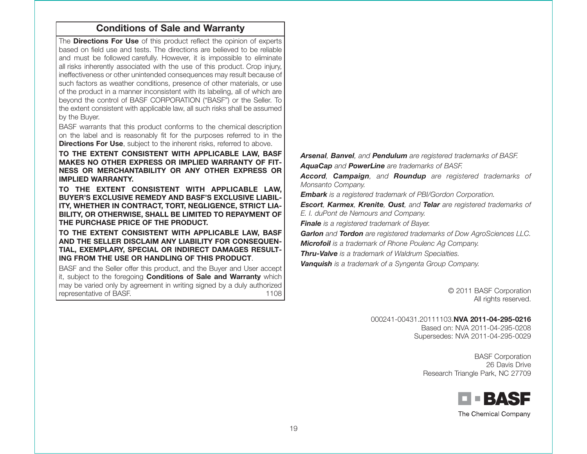# **Conditions of Sale and Warranty**

The **Directions For Use** of this product reflect the opinion of experts based on field use and tests. The directions are believed to be reliableand must be followed carefully. However, it is impossible to eliminate all risks inherently associated with the use of this product. Crop injury, ineffectiveness or other unintended consequences may result because of such factors as weather conditions, presence of other materials, or use of the product in a manner inconsistent with its labeling, all of which are beyond the control of BASF CORPORATION ("BASF") or the Seller. To the extent consistent with applicable law, all such risks shall be assumed by the Buyer.

BASF warrants that this product conforms to the chemical description on the label and is reasonably fit for the purposes referred to in the **Directions For Use**, subject to the inherent risks, referred to above.

**TO THE EXTENT CONSISTENT WITH APPLICABLE LAW, BASF MAKES NO OTHER EXPRESS OR IMPLIED WARRANTY OF FIT-NESS OR MERCHANTABILITY OR ANY OTHER EXPRESS ORIMPLIED WARRANTY.**

**TO THE EXTENT CONSISTENT WITH APPLICABLE LAW, BUYER'S EXCLUSIVE REMEDY AND BASF'S EXCLUSIVE LIABIL-ITY, WHETHER IN CONTRACT, TORT, NEGLIGENCE, STRICT LIA-BILITY, OR OTHERWISE, SHALL BE LIMITED TO REPAYMENT OF THE PURCHASE PRICE OF THE PRODUCT.**

**TO THE EXTENT CONSISTENT WITH APPLICABLE LAW, BASF AND THE SELLER DISCLAIM ANY LIABILITY FOR CONSEQUEN-TIAL, EXEMPLARY, SPECIAL OR INDIRECT DAMAGES RESULT-ING FROM THE USE OR HANDLING OF THIS PRODUCT**.

BASF and the Seller offer this product, and the Buyer and User accept it, subject to the foregoing **Conditions of Sale and Warranty** which may be varied only by agreement in writing signed by a duly authorized representative of BASF. 1108 *Arsenal, Banvel, and Pendulum are registered trademarks of BASF. AquaCap and PowerLine are trademarks of BASF.*

*Accord, Campaign, and Roundup are registered trademarks of Monsanto Company.*

*Embark is a registered trademark of PBI/Gordon Corporation.*

*Escort, Karmex, Krenite, Oust, and Telar are registered trademarks of E. I. duPont de Nemours and Company.*

*Finale is a registered trademark of Bayer.*

*Garlon and Tordon are registered trademarks of Dow AgroSciences LLC.*

*Microfoil is a trademark of Rhone Poulenc Ag Company.*

*Thru-Valve is a trademark of Waldrum Specialties.*

*Vanquish is a trademark of a Syngenta Group Company.*

© 2011 BASF Corporation All rights reserved.

000241-00431.20111103.**NVA 2011-04-295-0216**Based on: NVA 2011-04-295-0208Supersedes: NVA 2011-04-295-0029

> BASF Corporation 26 Davis DriveResearch Triangle Park, NC 27709

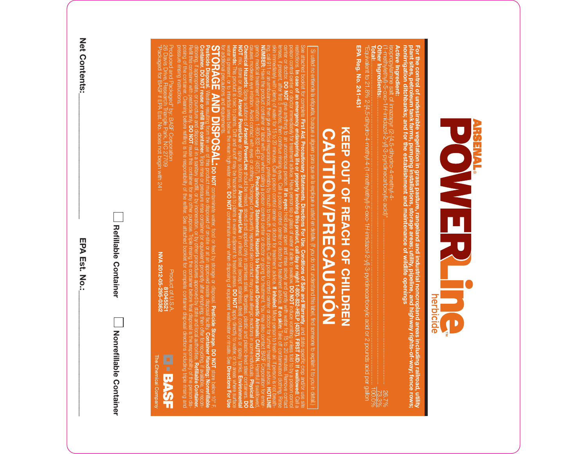

For the control of undesirable vegetation in grass pasture, rangeland and industrial noncropland areas including railroad, utility<br>plant sites, petroleum tank farms, pumping installations, storage areas; utility, pipeline, **Active Ingredient:**<br>Active Ingredient: **Active Ingredient: nonirrigation ditchbanks; and for the establishment and maintenance of wildlife openings plant sites, petroleum tank farms, pumping installations, storage areas; utility, pipeline, and highway rights-of-way; fence rows; For the control of undesirable vegetation in grass pasture, rangeland and industrial noncropland areas including railroad, utility**

(1-methylethyl)-5-oxo-1 isopropylamine salt of imazapyr (2-[4,5-dihydro-4-methyl-4-

EPA Reg. No. 241-431 **Total:EPA Reg. No. 241-431** \*Equivalent to 21.8% 2-[4,5-dihydro-4-methyl-4-(1-methylethyl)-5-oxo-1*H*-imidazol-2-yl]-3-pyridinecarboxylic acid or 2 pounds acid per gallon **Other Ingredients:**................................................................................................................................................................................................ 100.0% .......................................................................................................................................................................... 73.3% *H*-imidazol-2-yl]-3-pyridinecarboxylic acid)\* .................................................................................................. 26.7%

# **KEEP OCH OF REACH OF CHILDREN KEEP OUT OF REACH OF CHILDREN CAUTION/PRECAUCIÓN CAUTION/PRECAUCIÓN**

**STORAGE AND DISPOSAL:** for additional precautions and requirements. water is present, or to intertidal areas below the mean high water mark. **NOT Hazards: Chemical Hazards:** causes moderate eye irritation. Avoid contact with eyes or clothing. Prolonged or frequently repeated skin contact may cause allergic reactions in some individuals. gency medical treatment information: 1-800-832-HELP (4357). **NUMBER:** ing, call 911 or an ambulance; then give artificial respiration, preferably by mouth to mouth, if possible. Call a poison control center or doctor for further treatment advice. **HOTLINE** skin immediately with plenty of water for 15 to 20 minutes. Call a poison control center or doctor for treatment advice. **If inhaled:** Move person to fresh air. If person is not breathlenses, if present, after first 5 minutes; then continue rinsing eyes. Call a poison control center or doctor for treatment advice. center or doctor. poison control center or doctor immediately for treatment advice. Have person sip a glass of water if able to swallow. restrictions. See attached booklet for complete NUMBER: Ha Si usted no entiende la etiqueta, bu Si usted no entiende la etiqueta, busque a alguien para que se la explique a usted en detalle. (If you do not understand this label, find someone to explain it to you in detail.) mix, store or apply plitutor: DO NOT give anything<br>| doctor: DO NOT give anything<br>| present, after first 5 minutes; th This product is toxic to plants. Drift and runoff may be hazardous to plants in water adjacent to treated areas. Have the product container or label with you when calling a poison control center or doctor or going for treatment. You may also contact BASF Corporation for emer-**In case of an emergency endangering life or property involving this product, call day or night 1-800-832-HELP (4357). FIRST AID: If swallowed:** ent, after first 5 minutes; then continue irnsing eyes. C<br>ely with plenty of water for 15 to 20 minutes. Call a pois<br>r an ambulance; then give artificial respiration, preferably Spray solutions of **Arsenal PowerLine** give anything to an unconscious person. **First Aid**, **Arsenal PowerLine Precautionary Statements**, or spray solutions of **DO NOT** should be mixed, stored and applied only in stainless steel, fiberglass, plastic and plastic-lined steel containers. **Precautionary Statements: Hazards to Humans and Domestic Animals: CAUTION. If in eyes:** contaminate water, food or feed by storage or disposal. **Arsenal PowerLine DO NOT Directions For Use**, contaminate water when disposing of equipment washwater or rinsate. See Hold eyes open and rinse slowly and gently with water for 15 to 20 minutes. Remove contact in unlined steel (except stainless steel) containers or spray tanks. **Conditions of Sale and Warranty**tor for treatment advice. **If on skin**: Take off contaminate<br>atment advice. **If inhaled:** Moye person to fresh air. If per:<br>atment advice. **If inhaled:** Moye person to fresh air. If per: **DO NOT DO NOT Pesticide Storage. DO NOT** induce vomiting unless told to by a poison control **If on skin:** apply directly to water, or to areas where surface , and state-specific crop and/or use site Take off contaminated clothing. Rinse to explain it to you Harmful if swallowed, **Directions For Use** store below 10° F. **Environmental Physical and HOTLINE** Call a **DO**

**Pesticide Disposal.** Wastes resulting from the use of this product must be disposed of on-site or at an approved waste disposal facility. **Container Handling: Nonrefillable Container. DO NOT reuse or refill this container.** Triple rinse or pressure rinse container (or equivalent) promptly after emptying; then offer for recycling, if available, or reconditioning, if appropriate, or puncture and dispose of in a sanitary landfill, or by incineration, or by other procedures approved by state and local authorities. **Refillable Container.** Refill this container with pesticide only. **DO NOT** reuse this container for any other purpose. Triple rinsing the container before final disposal is the responsibility of the person disposing of the container. Cleaning before refilling is the responsibility of the refiller. See attached booklet for complete container disposal directions including triple rinsing and pressure rinsing instructions.

Produced and Packaged" by: BASF Corporation<br>26 Davis Drive, Research Triangle Park, NC 27709<br>"Packaged tor BASF if EPA Est. No. does not begin with 241 \*Packaged for BASF if EPA Est. No. does not begin with 241 26 Davis Drive, Research Triangle Park, NC 27709 Produced and Packaged\* by: BASF Corporation

Product of U.S.A. **Product of U.S.A.**<br>**RVA 2012-05-295-03621**<br>**NVA 2012-05-295-0362 NVA 2012-05-295-0362**

**El - BASF** The Chemical Company

Net Contents: **Net Contents:\_\_\_\_\_\_\_\_\_\_\_\_\_\_\_\_\_\_\_\_\_\_\_\_\_\_\_\_\_\_**

**EPA Est. No.:\_\_\_\_\_\_\_\_\_\_\_\_\_\_\_\_\_\_\_\_\_\_\_\_\_\_\_\_\_\_**

**Refillable Container Nonrefillable Container** Nonetillable Container

**Refillable Container** 

EPA Est. No.: